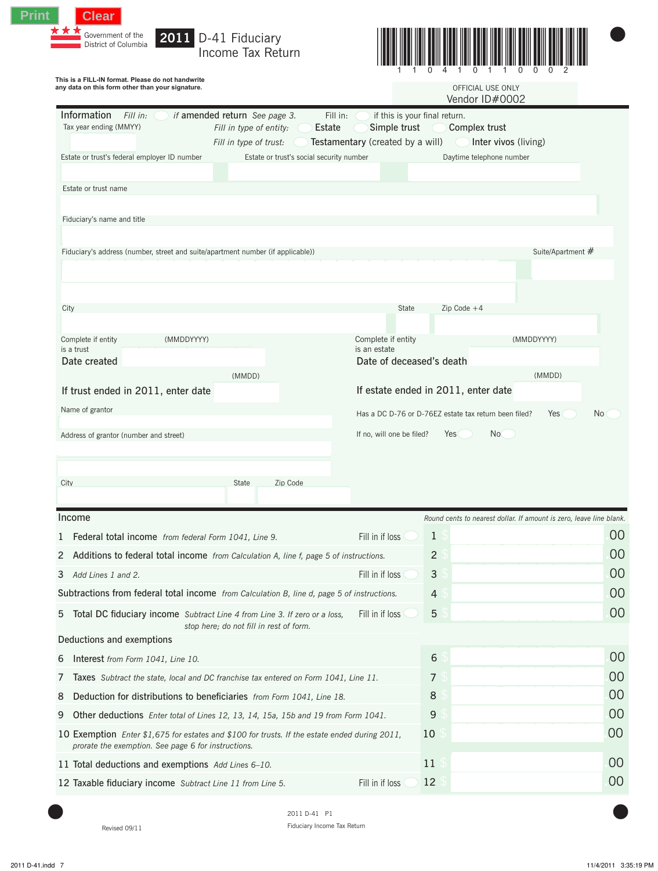



|                                                                                                   | This is a FILL-IN format. Please do not handwrite<br>any data on this form other than your signature.                                                       |                                                                                                                                                     | OFFICIAL USE ONLY<br>Vendor ID#0002                                 |                   |  |  |  |  |  |
|---------------------------------------------------------------------------------------------------|-------------------------------------------------------------------------------------------------------------------------------------------------------------|-----------------------------------------------------------------------------------------------------------------------------------------------------|---------------------------------------------------------------------|-------------------|--|--|--|--|--|
| Information<br>Fill in:<br>Tax year ending (MMYY)<br>Estate or trust's federal employer ID number | if amended return See page 3.<br>Fill in type of entity:<br>Fill in type of trust:                                                                          | if this is your final return.<br>Fill in:<br>Simple trust<br>Estate<br>Testamentary (created by a will)<br>Estate or trust's social security number | Complex trust<br>Inter vivos (living)<br>Daytime telephone number   |                   |  |  |  |  |  |
| Estate or trust name                                                                              |                                                                                                                                                             |                                                                                                                                                     |                                                                     |                   |  |  |  |  |  |
|                                                                                                   |                                                                                                                                                             |                                                                                                                                                     |                                                                     |                   |  |  |  |  |  |
| Fiduciary's name and title                                                                        |                                                                                                                                                             |                                                                                                                                                     |                                                                     |                   |  |  |  |  |  |
|                                                                                                   | Fiduciary's address (number, street and suite/apartment number (if applicable))                                                                             |                                                                                                                                                     |                                                                     | Suite/Apartment # |  |  |  |  |  |
|                                                                                                   |                                                                                                                                                             |                                                                                                                                                     |                                                                     |                   |  |  |  |  |  |
| City                                                                                              |                                                                                                                                                             | State                                                                                                                                               | Zip Code $+4$                                                       |                   |  |  |  |  |  |
|                                                                                                   |                                                                                                                                                             |                                                                                                                                                     |                                                                     |                   |  |  |  |  |  |
| Complete if entity<br>is a trust                                                                  | (MMDDYYYY)                                                                                                                                                  | Complete if entity<br>is an estate                                                                                                                  | (MMDDYYYY)                                                          |                   |  |  |  |  |  |
| Date created                                                                                      |                                                                                                                                                             | Date of deceased's death                                                                                                                            |                                                                     |                   |  |  |  |  |  |
|                                                                                                   | (MMDD)<br>If trust ended in 2011, enter date                                                                                                                | If estate ended in 2011, enter date                                                                                                                 | (MMDD)                                                              |                   |  |  |  |  |  |
|                                                                                                   |                                                                                                                                                             |                                                                                                                                                     |                                                                     |                   |  |  |  |  |  |
| Name of grantor                                                                                   |                                                                                                                                                             |                                                                                                                                                     | Has a DC D-76 or D-76EZ estate tax return been filed?<br>Yes        | No                |  |  |  |  |  |
| Address of grantor (number and street)                                                            |                                                                                                                                                             | If no, will one be filed?                                                                                                                           | Yes<br>No                                                           |                   |  |  |  |  |  |
| City                                                                                              | Zip Code<br>State                                                                                                                                           |                                                                                                                                                     |                                                                     |                   |  |  |  |  |  |
| Income                                                                                            |                                                                                                                                                             |                                                                                                                                                     | Round cents to nearest dollar. If amount is zero, leave line blank. |                   |  |  |  |  |  |
| 1                                                                                                 | Federal total income from federal Form 1041, Line 9.                                                                                                        | Fill in if loss<br>$\mathbf{1}$                                                                                                                     |                                                                     | 00<br>00          |  |  |  |  |  |
| 2<br>3<br>Add Lines 1 and 2.                                                                      | Additions to federal total income from Calculation A, line f, page 5 of instructions.                                                                       | $\overline{2}$<br>Fill in if loss<br>3                                                                                                              |                                                                     | 00                |  |  |  |  |  |
|                                                                                                   | Subtractions from federal total income from Calculation B, line d, page 5 of instructions.                                                                  | 4                                                                                                                                                   |                                                                     |                   |  |  |  |  |  |
| 5                                                                                                 | Total DC fiduciary income Subtract Line 4 from Line 3. If zero or a loss,<br>stop here; do not fill in rest of form.                                        | 5<br>Fill in if loss                                                                                                                                |                                                                     | 00<br>00          |  |  |  |  |  |
| Deductions and exemptions                                                                         |                                                                                                                                                             |                                                                                                                                                     |                                                                     |                   |  |  |  |  |  |
| Interest from Form 1041, Line 10.<br>6                                                            |                                                                                                                                                             | 6                                                                                                                                                   |                                                                     |                   |  |  |  |  |  |
| 7                                                                                                 | Taxes Subtract the state, local and DC franchise tax entered on Form 1041, Line 11.                                                                         | 7                                                                                                                                                   |                                                                     | 00<br>00          |  |  |  |  |  |
| 8                                                                                                 | Deduction for distributions to beneficiaries from Form 1041, Line 18.                                                                                       | 8                                                                                                                                                   |                                                                     | 00                |  |  |  |  |  |
| 9                                                                                                 | Other deductions Enter total of Lines 12, 13, 14, 15a, 15b and 19 from Form 1041.                                                                           | 9                                                                                                                                                   |                                                                     |                   |  |  |  |  |  |
|                                                                                                   | 10 Exemption <i>Enter</i> \$1,675 for estates and \$100 for trusts. If the estate ended during 2011,<br>prorate the exemption. See page 6 for instructions. | 10                                                                                                                                                  |                                                                     |                   |  |  |  |  |  |
|                                                                                                   | 11 Total deductions and exemptions Add Lines 6-10.                                                                                                          | 11                                                                                                                                                  |                                                                     | 00<br>00<br>00    |  |  |  |  |  |